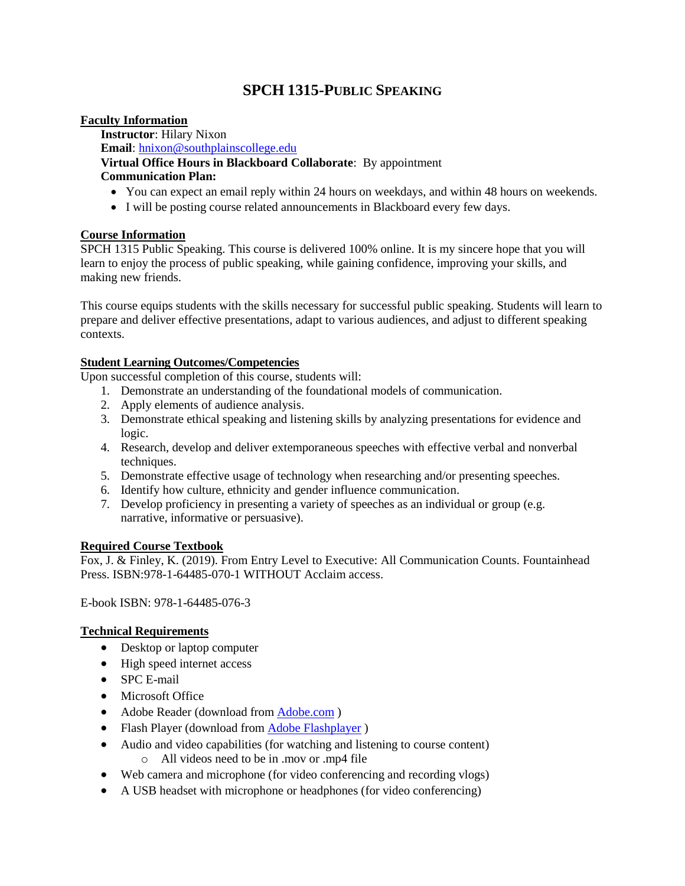# **SPCH 1315-PUBLIC SPEAKING**

### **Faculty Information**

**Instructor**: Hilary Nixon **Email**: [hnixon@southplainscollege.edu](mailto:hnixon@southplainscollege.edu)

## **Virtual Office Hours in Blackboard Collaborate**: By appointment **Communication Plan:**

- You can expect an email reply within 24 hours on weekdays, and within 48 hours on weekends.
- I will be posting course related announcements in Blackboard every few days.

### **Course Information**

SPCH 1315 Public Speaking. This course is delivered 100% online. It is my sincere hope that you will learn to enjoy the process of public speaking, while gaining confidence, improving your skills, and making new friends.

This course equips students with the skills necessary for successful public speaking. Students will learn to prepare and deliver effective presentations, adapt to various audiences, and adjust to different speaking contexts.

### **Student Learning Outcomes/Competencies**

Upon successful completion of this course, students will:

- 1. Demonstrate an understanding of the foundational models of communication.
- 2. Apply elements of audience analysis.
- 3. Demonstrate ethical speaking and listening skills by analyzing presentations for evidence and logic.
- 4. Research, develop and deliver extemporaneous speeches with effective verbal and nonverbal techniques.
- 5. Demonstrate effective usage of technology when researching and/or presenting speeches.
- 6. Identify how culture, ethnicity and gender influence communication.
- 7. Develop proficiency in presenting a variety of speeches as an individual or group (e.g. narrative, informative or persuasive).

### **Required Course Textbook**

Fox, J. & Finley, K. (2019). From Entry Level to Executive: All Communication Counts. Fountainhead Press. ISBN:978-1-64485-070-1 WITHOUT Acclaim access.

E-book ISBN: 978-1-64485-076-3

### **Technical Requirements**

- Desktop or laptop computer
- High speed internet access
- SPC E-mail
- Microsoft Office
- Adobe Reader (download from **Adobe.com**)
- Flash Player (download from [Adobe Flashplayer](http://get.adobe.com/flashplayer/))
- Audio and video capabilities (for watching and listening to course content) o All videos need to be in .mov or .mp4 file
- Web camera and microphone (for video conferencing and recording vlogs)
- A USB headset with microphone or headphones (for video conferencing)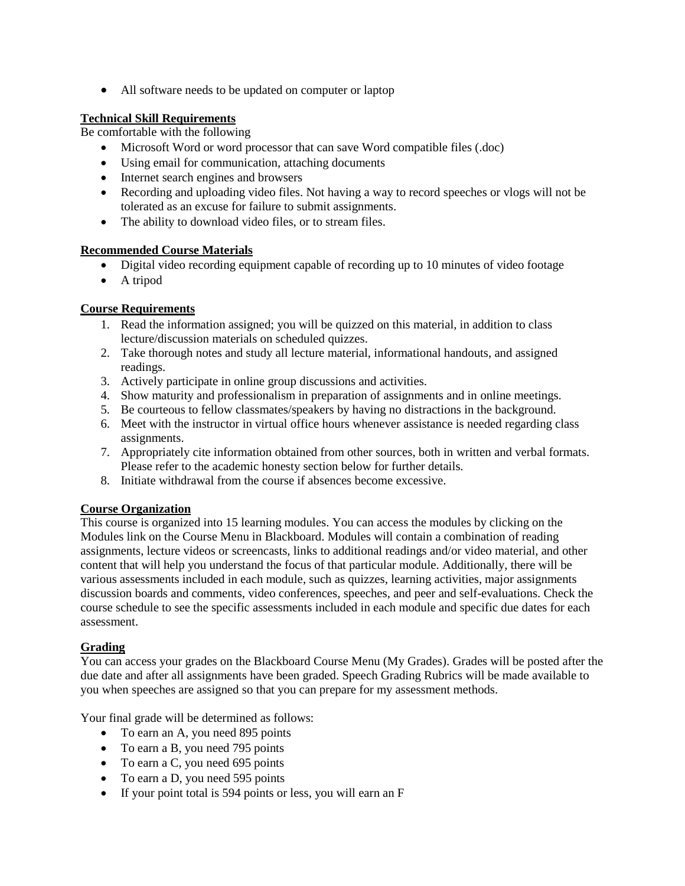• All software needs to be updated on computer or laptop

### **Technical Skill Requirements**

Be comfortable with the following

- Microsoft Word or word processor that can save Word compatible files (.doc)
- Using email for communication, attaching documents
- Internet search engines and browsers
- Recording and uploading video files. Not having a way to record speeches or vlogs will not be tolerated as an excuse for failure to submit assignments.
- The ability to download video files, or to stream files.

### **Recommended Course Materials**

- Digital video recording equipment capable of recording up to 10 minutes of video footage
- A tripod

### **Course Requirements**

- 1. Read the information assigned; you will be quizzed on this material, in addition to class lecture/discussion materials on scheduled quizzes.
- 2. Take thorough notes and study all lecture material, informational handouts, and assigned readings.
- 3. Actively participate in online group discussions and activities.
- 4. Show maturity and professionalism in preparation of assignments and in online meetings.
- 5. Be courteous to fellow classmates/speakers by having no distractions in the background.
- 6. Meet with the instructor in virtual office hours whenever assistance is needed regarding class assignments.
- 7. Appropriately cite information obtained from other sources, both in written and verbal formats. Please refer to the academic honesty section below for further details.
- 8. Initiate withdrawal from the course if absences become excessive.

### **Course Organization**

This course is organized into 15 learning modules. You can access the modules by clicking on the Modules link on the Course Menu in Blackboard. Modules will contain a combination of reading assignments, lecture videos or screencasts, links to additional readings and/or video material, and other content that will help you understand the focus of that particular module. Additionally, there will be various assessments included in each module, such as quizzes, learning activities, major assignments discussion boards and comments, video conferences, speeches, and peer and self-evaluations. Check the course schedule to see the specific assessments included in each module and specific due dates for each assessment.

## **Grading**

You can access your grades on the Blackboard Course Menu (My Grades). Grades will be posted after the due date and after all assignments have been graded. Speech Grading Rubrics will be made available to you when speeches are assigned so that you can prepare for my assessment methods.

Your final grade will be determined as follows:

- To earn an A, you need 895 points
- To earn a B, you need 795 points
- To earn a C, you need 695 points
- To earn a D, you need 595 points
- If your point total is 594 points or less, you will earn an F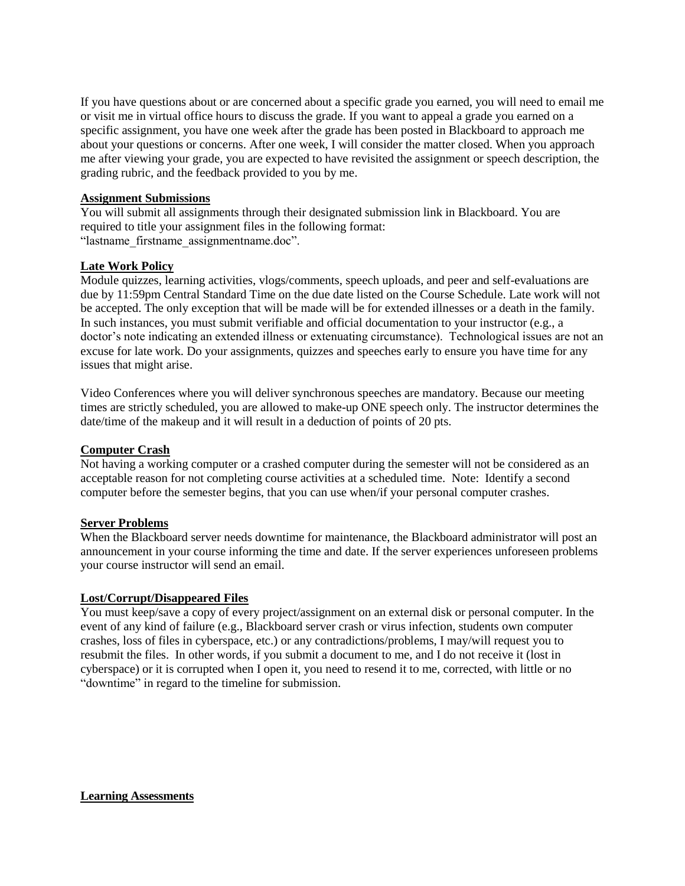If you have questions about or are concerned about a specific grade you earned, you will need to email me or visit me in virtual office hours to discuss the grade. If you want to appeal a grade you earned on a specific assignment, you have one week after the grade has been posted in Blackboard to approach me about your questions or concerns. After one week, I will consider the matter closed. When you approach me after viewing your grade, you are expected to have revisited the assignment or speech description, the grading rubric, and the feedback provided to you by me.

#### **Assignment Submissions**

You will submit all assignments through their designated submission link in Blackboard. You are required to title your assignment files in the following format: "lastname\_firstname\_assignmentname.doc".

### **Late Work Policy**

Module quizzes, learning activities, vlogs/comments, speech uploads, and peer and self-evaluations are due by 11:59pm Central Standard Time on the due date listed on the Course Schedule. Late work will not be accepted. The only exception that will be made will be for extended illnesses or a death in the family. In such instances, you must submit verifiable and official documentation to your instructor (e.g., a doctor's note indicating an extended illness or extenuating circumstance). Technological issues are not an excuse for late work. Do your assignments, quizzes and speeches early to ensure you have time for any issues that might arise.

Video Conferences where you will deliver synchronous speeches are mandatory. Because our meeting times are strictly scheduled, you are allowed to make-up ONE speech only. The instructor determines the date/time of the makeup and it will result in a deduction of points of 20 pts.

### **Computer Crash**

Not having a working computer or a crashed computer during the semester will not be considered as an acceptable reason for not completing course activities at a scheduled time. Note: Identify a second computer before the semester begins, that you can use when/if your personal computer crashes.

### **Server Problems**

When the Blackboard server needs downtime for maintenance, the Blackboard administrator will post an announcement in your course informing the time and date. If the server experiences unforeseen problems your course instructor will send an email.

#### **Lost/Corrupt/Disappeared Files**

You must keep/save a copy of every project/assignment on an external disk or personal computer. In the event of any kind of failure (e.g., Blackboard server crash or virus infection, students own computer crashes, loss of files in cyberspace, etc.) or any contradictions/problems, I may/will request you to resubmit the files. In other words, if you submit a document to me, and I do not receive it (lost in cyberspace) or it is corrupted when I open it, you need to resend it to me, corrected, with little or no "downtime" in regard to the timeline for submission.

**Learning Assessments**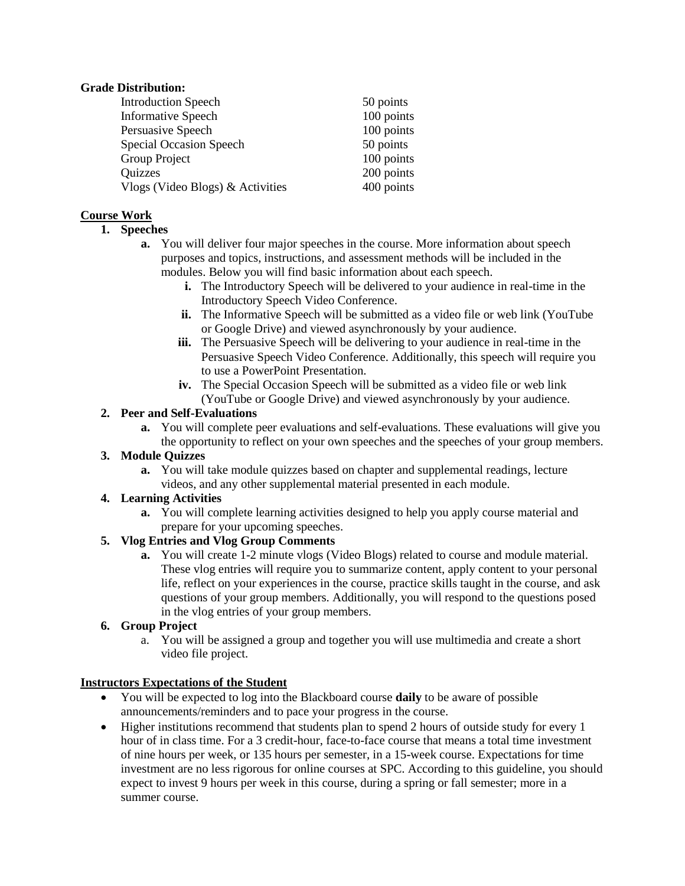### **Grade Distribution:**

| <b>Introduction Speech</b>       | 50 points  |
|----------------------------------|------------|
| <b>Informative Speech</b>        | 100 points |
| Persuasive Speech                | 100 points |
| Special Occasion Speech          | 50 points  |
| Group Project                    | 100 points |
| Quizzes                          | 200 points |
| Vlogs (Video Blogs) & Activities | 400 points |

### **Course Work**

### **1. Speeches**

- **a.** You will deliver four major speeches in the course. More information about speech purposes and topics, instructions, and assessment methods will be included in the modules. Below you will find basic information about each speech.
	- **i.** The Introductory Speech will be delivered to your audience in real-time in the Introductory Speech Video Conference.
	- **ii.** The Informative Speech will be submitted as a video file or web link (YouTube or Google Drive) and viewed asynchronously by your audience.
	- **iii.** The Persuasive Speech will be delivering to your audience in real-time in the Persuasive Speech Video Conference. Additionally, this speech will require you to use a PowerPoint Presentation.
	- **iv.** The Special Occasion Speech will be submitted as a video file or web link (YouTube or Google Drive) and viewed asynchronously by your audience.

### **2. Peer and Self-Evaluations**

**a.** You will complete peer evaluations and self-evaluations. These evaluations will give you the opportunity to reflect on your own speeches and the speeches of your group members.

### **3. Module Quizzes**

**a.** You will take module quizzes based on chapter and supplemental readings, lecture videos, and any other supplemental material presented in each module.

### **4. Learning Activities**

**a.** You will complete learning activities designed to help you apply course material and prepare for your upcoming speeches.

### **5. Vlog Entries and Vlog Group Comments**

**a.** You will create 1-2 minute vlogs (Video Blogs) related to course and module material. These vlog entries will require you to summarize content, apply content to your personal life, reflect on your experiences in the course, practice skills taught in the course, and ask questions of your group members. Additionally, you will respond to the questions posed in the vlog entries of your group members.

### **6. Group Project**

a. You will be assigned a group and together you will use multimedia and create a short video file project.

### **Instructors Expectations of the Student**

- You will be expected to log into the Blackboard course **daily** to be aware of possible announcements/reminders and to pace your progress in the course.
- Higher institutions recommend that students plan to spend 2 hours of outside study for every 1 hour of in class time. For a 3 credit-hour, face-to-face course that means a total time investment of nine hours per week, or 135 hours per semester, in a 15-week course. Expectations for time investment are no less rigorous for online courses at SPC. According to this guideline, you should expect to invest 9 hours per week in this course, during a spring or fall semester; more in a summer course.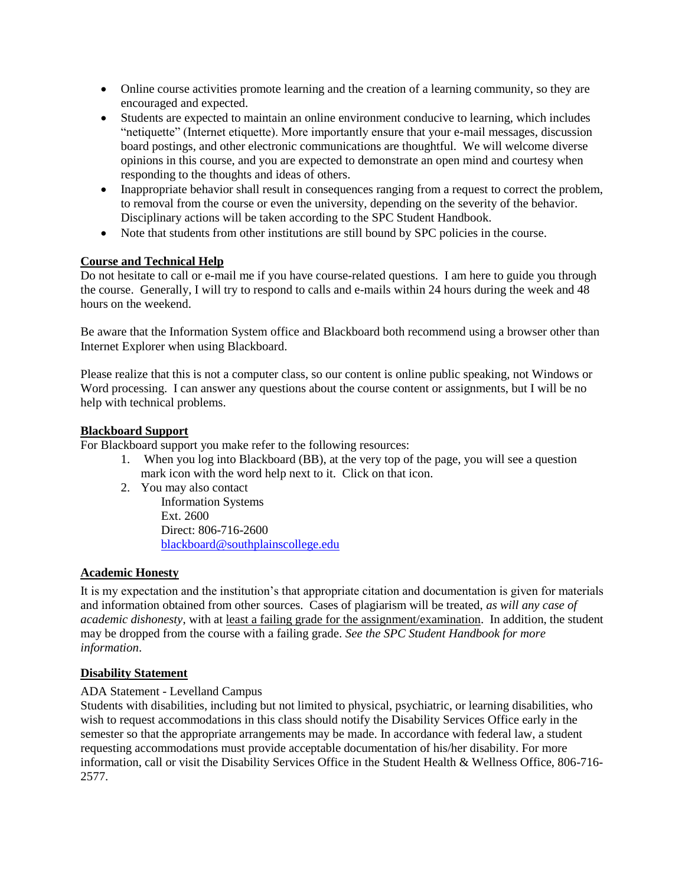- Online course activities promote learning and the creation of a learning community, so they are encouraged and expected.
- Students are expected to maintain an online environment conducive to learning, which includes "netiquette" (Internet etiquette). More importantly ensure that your e-mail messages, discussion board postings, and other electronic communications are thoughtful. We will welcome diverse opinions in this course, and you are expected to demonstrate an open mind and courtesy when responding to the thoughts and ideas of others.
- Inappropriate behavior shall result in consequences ranging from a request to correct the problem, to removal from the course or even the university, depending on the severity of the behavior. Disciplinary actions will be taken according to the SPC Student Handbook.
- Note that students from other institutions are still bound by SPC policies in the course.

### **Course and Technical Help**

Do not hesitate to call or e-mail me if you have course-related questions. I am here to guide you through the course. Generally, I will try to respond to calls and e-mails within 24 hours during the week and 48 hours on the weekend.

Be aware that the Information System office and Blackboard both recommend using a browser other than Internet Explorer when using Blackboard.

Please realize that this is not a computer class, so our content is online public speaking, not Windows or Word processing. I can answer any questions about the course content or assignments, but I will be no help with technical problems.

### **Blackboard Support**

For Blackboard support you make refer to the following resources:

- 1. When you log into Blackboard (BB), at the very top of the page, you will see a question mark icon with the word help next to it. Click on that icon.
- 2. You may also contact

Information Systems Ext. 2600 Direct: 806-716-2600 [blackboard@southplainscollege.edu](mailto:jetucker@southplainscollege.edu)

### **Academic Honesty**

It is my expectation and the institution's that appropriate citation and documentation is given for materials and information obtained from other sources. Cases of plagiarism will be treated, *as will any case of academic dishonesty*, with at least a failing grade for the assignment/examination. In addition, the student may be dropped from the course with a failing grade. *See the SPC Student Handbook for more information*.

### **Disability Statement**

### ADA Statement - Levelland Campus

Students with disabilities, including but not limited to physical, psychiatric, or learning disabilities, who wish to request accommodations in this class should notify the Disability Services Office early in the semester so that the appropriate arrangements may be made. In accordance with federal law, a student requesting accommodations must provide acceptable documentation of his/her disability. For more information, call or visit the Disability Services Office in the Student Health & Wellness Office, 806-716- 2577.